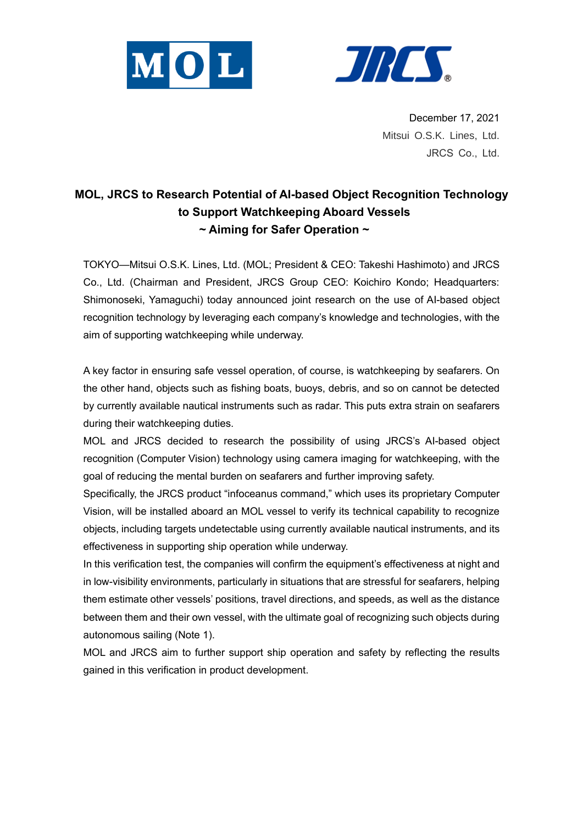



December 17, 2021 Mitsui O.S.K. Lines, Ltd. JRCS Co., Ltd.

## **MOL, JRCS to Research Potential of AI-based Object Recognition Technology to Support Watchkeeping Aboard Vessels ~ Aiming for Safer Operation ~**

TOKYO—Mitsui O.S.K. Lines, Ltd. (MOL; President & CEO: Takeshi Hashimoto) and JRCS Co., Ltd. (Chairman and President, JRCS Group CEO: Koichiro Kondo; Headquarters: Shimonoseki, Yamaguchi) today announced joint research on the use of AI-based object recognition technology by leveraging each company's knowledge and technologies, with the aim of supporting watchkeeping while underway.

A key factor in ensuring safe vessel operation, of course, is watchkeeping by seafarers. On the other hand, objects such as fishing boats, buoys, debris, and so on cannot be detected by currently available nautical instruments such as radar. This puts extra strain on seafarers during their watchkeeping duties.

MOL and JRCS decided to research the possibility of using JRCS's AI-based object recognition (Computer Vision) technology using camera imaging for watchkeeping, with the goal of reducing the mental burden on seafarers and further improving safety.

Specifically, the JRCS product "infoceanus command," which uses its proprietary Computer Vision, will be installed aboard an MOL vessel to verify its technical capability to recognize objects, including targets undetectable using currently available nautical instruments, and its effectiveness in supporting ship operation while underway.

In this verification test, the companies will confirm the equipment's effectiveness at night and in low-visibility environments, particularly in situations that are stressful for seafarers, helping them estimate other vessels' positions, travel directions, and speeds, as well as the distance between them and their own vessel, with the ultimate goal of recognizing such objects during autonomous sailing (Note 1).

MOL and JRCS aim to further support ship operation and safety by reflecting the results gained in this verification in product development.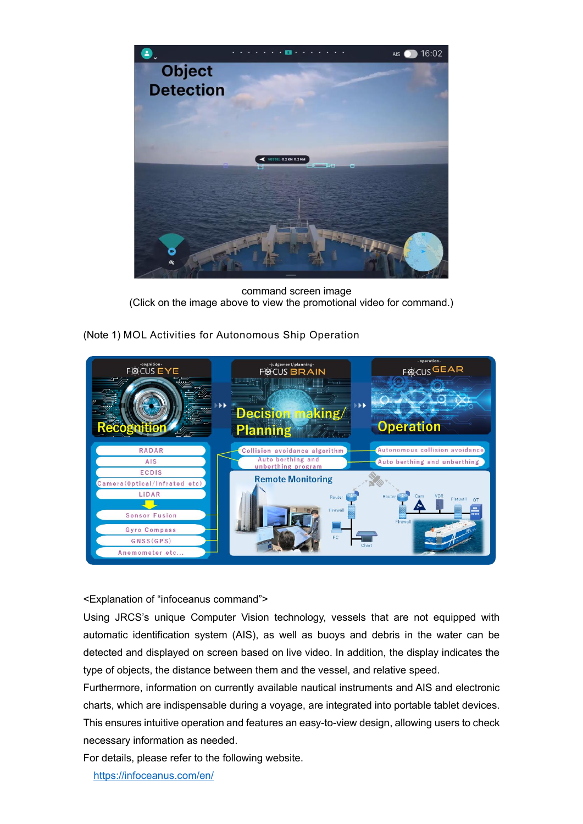

command screen image (Click on the image above to view the promotional video for command.)



(Note 1) MOL Activities for Autonomous Ship Operation

<Explanation of "infoceanus command">

Using JRCS's unique Computer Vision technology, vessels that are not equipped with automatic identification system (AIS), as well as buoys and debris in the water can be detected and displayed on screen based on live video. In addition, the display indicates the type of objects, the distance between them and the vessel, and relative speed.

Furthermore, information on currently available nautical instruments and AIS and electronic charts, which are indispensable during a voyage, are integrated into portable tablet devices. This ensures intuitive operation and features an easy-to-view design, allowing users to check necessary information as needed.

For details, please refer to the following website.

<https://infoceanus.com/en/>